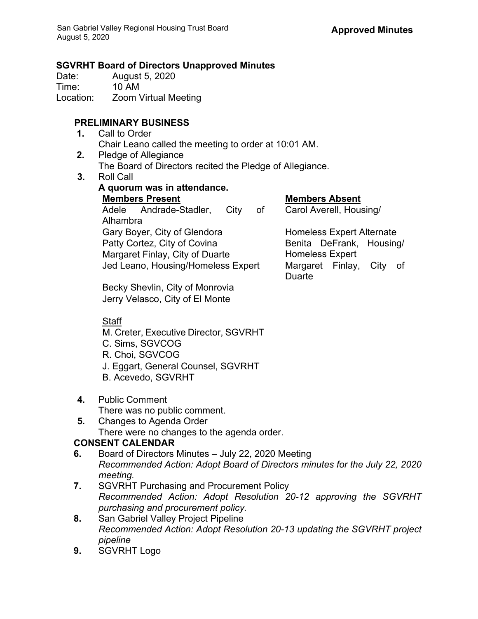#### **SGVRHT Board of Directors Unapproved Minutes**

Date: August 5, 2020<br>
Time: 10 AM 10 AM Location: Zoom Virtual Meeting

## **PRELIMINARY BUSINESS**

- **1.** Call to Order Chair Leano called the meeting to order at 10:01 AM.
- **2.** Pledge of Allegiance The Board of Directors recited the Pledge of Allegiance.
- **3.** Roll Call

| A quorum was in attendance.        |                                       |  |  |
|------------------------------------|---------------------------------------|--|--|
| <b>Members Present</b>             | <b>Members Absent</b>                 |  |  |
| Adele Andrade-Stadler, City<br>of  | Carol Averell, Housing/               |  |  |
| Alhambra                           |                                       |  |  |
| Gary Boyer, City of Glendora       | <b>Homeless Expert Alternate</b>      |  |  |
| Patty Cortez, City of Covina       | Benita DeFrank, Housing/              |  |  |
| Margaret Finlay, City of Duarte    | <b>Homeless Expert</b>                |  |  |
| Jed Leano, Housing/Homeless Expert | Margaret Finlay,<br>City of<br>Duarte |  |  |

Becky Shevlin, City of Monrovia Jerry Velasco, City of El Monte

# Staff

- M. Creter, Executive Director, SGVRHT
- C. Sims, SGVCOG
- R. Choi, SGVCOG
- J. Eggart, General Counsel, SGVRHT
- B. Acevedo, SGVRHT
- **4.** Public Comment There was no public comment.
- **5.** Changes to Agenda Order There were no changes to the agenda order.

# **CONSENT CALENDAR**

- **6.** Board of Directors Minutes July 22, 2020 Meeting *Recommended Action: Adopt Board of Directors minutes for the July 22, 2020 meeting.*
- **7.** SGVRHT Purchasing and Procurement Policy *Recommended Action: Adopt Resolution 20-12 approving the SGVRHT purchasing and procurement policy.*
- **8.** San Gabriel Valley Project Pipeline *Recommended Action: Adopt Resolution 20-13 updating the SGVRHT project pipeline*
- **9.** SGVRHT Logo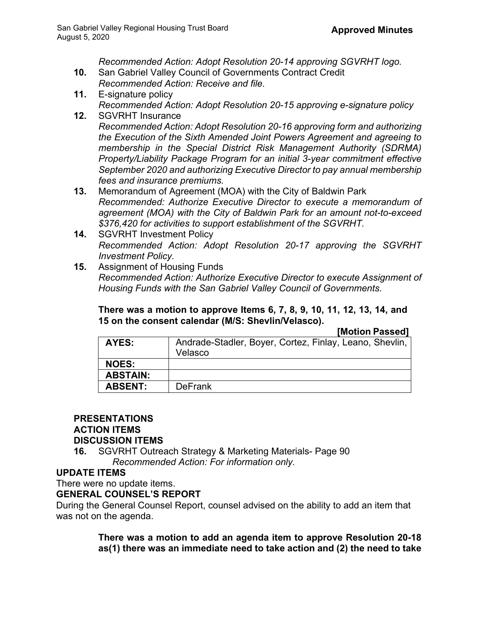*Recommended Action: Adopt Resolution 20-14 approving SGVRHT logo.*

- **10.** San Gabriel Valley Council of Governments Contract Credit *Recommended Action: Receive and file.*
- **11.** E-signature policy *Recommended Action: Adopt Resolution 20-15 approving e-signature policy*
- **12.** SGVRHT Insurance *Recommended Action: Adopt Resolution 20-16 approving form and authorizing the Execution of the Sixth Amended Joint Powers Agreement and agreeing to membership in the Special District Risk Management Authority (SDRMA) Property/Liability Package Program for an initial 3-year commitment effective September 2020 and authorizing Executive Director to pay annual membership fees and insurance premiums.*
- **13.** Memorandum of Agreement (MOA) with the City of Baldwin Park *Recommended: Authorize Executive Director to execute a memorandum of agreement (MOA) with the City of Baldwin Park for an amount not-to-exceed \$376,420 for activities to support establishment of the SGVRHT.*
- **14.** SGVRHT Investment Policy *Recommended Action: Adopt Resolution 20-17 approving the SGVRHT Investment Policy.*
- **15.** Assignment of Housing Funds *Recommended Action: Authorize Executive Director to execute Assignment of Housing Funds with the San Gabriel Valley Council of Governments.*

**There was a motion to approve Items 6, 7, 8, 9, 10, 11, 12, 13, 14, and 15 on the consent calendar (M/S: Shevlin/Velasco).** 

**[Motion Passed]**

| AYES:           | Andrade-Stadler, Boyer, Cortez, Finlay, Leano, Shevlin,<br>Velasco |
|-----------------|--------------------------------------------------------------------|
| <b>NOES:</b>    |                                                                    |
| <b>ABSTAIN:</b> |                                                                    |
| <b>ABSENT:</b>  | <b>DeFrank</b>                                                     |

## **PRESENTATIONS**

## **ACTION ITEMS**

#### **DISCUSSION ITEMS**

**16.** SGVRHT Outreach Strategy & Marketing Materials- Page 90 *Recommended Action: For information only.*

## **UPDATE ITEMS**

There were no update items.

## **GENERAL COUNSEL'S REPORT**

During the General Counsel Report, counsel advised on the ability to add an item that was not on the agenda.

> **There was a motion to add an agenda item to approve Resolution 20-18 as(1) there was an immediate need to take action and (2) the need to take**